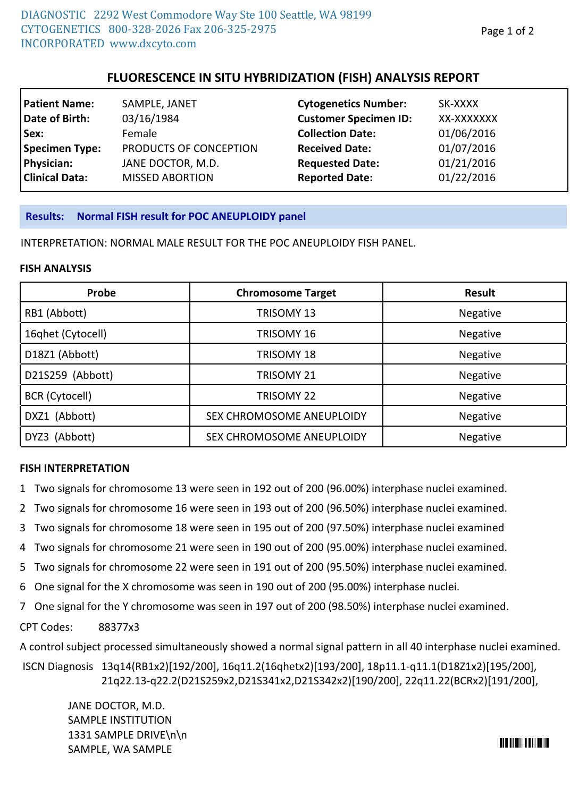# **FLUORESCENCE IN SITU HYBRIDIZATION (FISH) ANALYSIS REPORT**

| <b>Patient Name:</b>  | SAMPLE, JANET          | <b>Cytogenetics Number:</b>  | SK-XXXX    |
|-----------------------|------------------------|------------------------------|------------|
| Date of Birth:        | 03/16/1984             | <b>Customer Specimen ID:</b> | XX-XXXXXXX |
| Sex:                  | Female                 | <b>Collection Date:</b>      | 01/06/2016 |
| Specimen Type:        | PRODUCTS OF CONCEPTION | <b>Received Date:</b>        | 01/07/2016 |
| Physician:            | JANE DOCTOR, M.D.      | <b>Requested Date:</b>       | 01/21/2016 |
| <b>Clinical Data:</b> | <b>MISSED ABORTION</b> | <b>Reported Date:</b>        | 01/22/2016 |

### **Results: Normal FISH result for POC ANEUPLOIDY panel**

INTERPRETATION: NORMAL MALE RESULT FOR THE POC ANEUPLOIDY FISH PANEL.

#### **FISH ANALYSIS**

| Probe                 | <b>Chromosome Target</b>  | <b>Result</b>   |
|-----------------------|---------------------------|-----------------|
| RB1 (Abbott)          | TRISOMY 13                | Negative        |
| 16qhet (Cytocell)     | TRISOMY 16                | Negative        |
| D18Z1 (Abbott)        | TRISOMY 18                | Negative        |
| D21S259 (Abbott)      | TRISOMY 21                | <b>Negative</b> |
| <b>BCR</b> (Cytocell) | TRISOMY 22                | <b>Negative</b> |
| DXZ1 (Abbott)         | SEX CHROMOSOME ANEUPLOIDY | Negative        |
| DYZ3 (Abbott)         | SEX CHROMOSOME ANEUPLOIDY | Negative        |

### **FISH INTERPRETATION**

- 1 Two signals for chromosome 13 were seen in 192 out of 200 (96.00%) interphase nuclei examined.
- 2 Two signals for chromosome 16 were seen in 193 out of 200 (96.50%) interphase nuclei examined.
- 3 Two signals for chromosome 18 were seen in 195 out of 200 (97.50%) interphase nuclei examined
- 4 Two signals for chromosome 21 were seen in 190 out of 200 (95.00%) interphase nuclei examined.
- 5 Two signals for chromosome 22 were seen in 191 out of 200 (95.50%) interphase nuclei examined.
- 6 One signal for the X chromosome was seen in 190 out of 200 (95.00%) interphase nuclei.
- 7 One signal for the Y chromosome was seen in 197 out of 200 (98.50%) interphase nuclei examined.

CPT Codes: 88377x3

A control subject processed simultaneously showed a normal signal pattern in all 40 interphase nuclei examined.

13q14(RB1x2)[192/200], 16q11.2(16qhetx2)[193/200], 18p11.1-q11.1(D18Z1x2)[195/200], ISCN Diagnosis 21q22.13-q22.2(D21S259x2,D21S341x2,D21S342x2)[190/200], 22q11.22(BCRx2)[191/200],

JANE DOCTOR, M.D. SAMPLE INSTITUTION 1331 SAMPLE DRIVE\n\n SAMPLE, WA SAMPLE